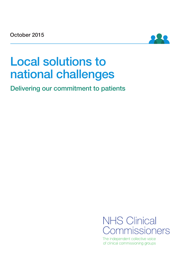October 2015



# Local solutions to national challenges

Delivering our commitment to patients



The independent collective voice of clinical commissioning groups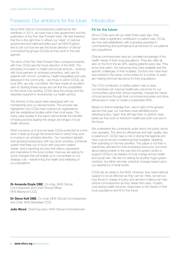## Foreword: Our ambitions for the future

Since NHS Clinical Commissioners published its first manifesto in 2014, we have had a new government and the publication of the *Five Year Forward View*. We feel therefore that this is the right time to refresh our "asks" of national government and national bodies such as NHS England and to set out how we see the future direction of clinical commissioning groups (CCGs) as they work to the new agenda.

The aims of the *Five Year Forward View* correspond exactly with how CCGs see the future direction of the NHS. The principles of localism in health and social services – working with local partners on sickness prevention, self-care for patients with chronic conditions, health inequalities and care delivered in the community – are those to which CCGs, as local GPs, are fully committed. We have made an excellent start on tackling these issues and we find the possibilities for the future truly exciting. CCGs have the energy and the expertise required to revolutionise our health service.

The themes of this report were developed with our membership and our elected board. The process has highlighted how CCGs have matured as organisations and are established bodies within their local areas. The many case studies in this report demonstrate the benefits of having doctors leading the design and shape of local health services.

What concerns us is how we keep CCGs protected at a time when it feels as though the environment in which they work is moving in an unhelpful direction. Our members highlight ever-growing bureaucracy with top-down priorities, a financial system that feels out of touch with long-term patient needs, and a reporting process that seems oppressive and insensitive to the local context. Here we are asking for some changes that will enable us to concentrate on our strategic role – transforming the health and wellbeing of our populations.

Dr Amanda Dovle OBE, Co-chair, NHS Clinical Commissioners and Chief Clinical Officer, NHS Blackpool CCG

Dr Steve Kell OBE, Co-chair, NHS Clinical Commissioners and Chair, NHS Bassetlaw CCG

Julie Wood, Chief Executive, NHS Clinical Commissioners

## **Introduction**

#### Fit for the future

Since CCGs were set up nearly three years ago, they have made a significant contribution to patient care. CCGs are now well established, with a growing expertise in commissioning and purchasing local services for our patients and populations.

Clinical commissioners have an unrivalled knowledge of the health needs of their local populations. They are, after all, also on the front line as GPs, seeing patients every day. They know their patch, the resources they have available and the specific challenges of their localities. Doctors who have lived and worked in the same communities for a number of years are making informed decisions for their populations.

The CCG contribution to better patient care is clear: our members can improve healthcare outcomes for our communities using their clinical expertise, change the nature of local services through their commissioning levers and drive efficiencies in order to create a sustainable NHS.

Based on that knowledge then, and in light of the general election this year, our members have identified some refreshed policy "asks" that will help them to perform even better as they work to transform healthcare both now and in the future.

We understand the constraints under which the public sector now operates. The drive for efficiencies and high-quality care is paramount. CCGs have a role in driving that agenda and have a good record of balancing their budgets, targeting their spending on the key priorities. This paper is not then a reactionary demand for ever-increasing resources, but more about being smarter in the way that the system works to support CCGs to be leaders of local change across health and social care. We are not asking for another huge system overhaul, but rather discrete, practical changes based upon our experience of what works.

CCGs are an asset to the NHS. However, they need national support to be as effective as they can be. Here, we set out how those in charge of policy and decision-making can help clinical commissioners as they deliver first-class, modern, cost-saving health services, responsive to the needs of their local populations and fit for the future.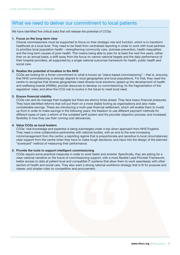## What we need to deliver our commitment to local patients

We have identified five critical asks that will release the potential of CCGs:

#### 1. Focus on the long-term view

Clinical commissioners must be supported to focus on their strategic role and function, which is to transform healthcare at a local level. They need to be freed from centralised reporting in order to work with local partners to prioritise local population health – strengthening community care, sickness prevention, health inequalities and the long-term causes of poor health. This means being able to plan for at least the next five years, rather than on an annual basis; a shift away from the focus on narrow national targets and the daily performance of their hospital providers, all supported by a single national outcomes framework for health, public health and social care.

#### 2. Realise the potential of localism in the NHS

CCGs are looking for a firmer commitment to what is known as "place-based commissioning" – that is, ensuring that NHS commissioning is strongly aligned to local geographies and local populations. For that, they need the centre to recognise that diverse geographies need diverse local solutions; speed up the development of health and wellbeing boards (HWBs); provide resources to develop co-commissioning; fix the fragmentation of the regulators' roles; and allow the CCG role to evolve in the future to meet local need.

#### 3. Ensure financial stability

CCGs can and do manage their budgets but there are stormy times ahead. They face heavy financial pressures. They have identified reforms that will put them on a more stable footing as organisations and also make considerable savings. These are introducing a multi-year financial settlement, which will enable them to invest up front in order to make savings in the following years; the freedom to use different payment methods for different types of care; a reform of the outdated tariff system and the provider objection process; and increased flexibility in how they use their running cost allowances.

#### 4. Value CCGs as local leaders

CCGs' vital knowledge and expertise is being submerged under a top-down approach from NHS England. They need a more collaborative partnership with national bodies, with an end to the ever-increasing micromanagement from the centre; a reporting regime that is proportionate and sensitive to local circumstances; clear support from the centre when they have to make tough decisions; and input into the design of the planned "scorecard" method of measuring their performance.

#### 5. Provide the tools to support intelligent commissioning

CCGs require some practical measures in order to work faster and smarter. Specifically, they are asking for a clear national narrative on the future of commissioning support, with a more flexible Lead Provider Framework, better access to data at patient level and compatible IT systems that allow them to work seamlessly with other sectors of health and social care. They also want a strong national workforce strategy that is fit for purpose and clearer, and simpler rules on competition and procurement.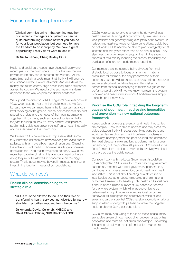## Focus on the long-term view

"Clinical commissioning – that coming together of clinicians, managers and patients – can be quite breathtaking in terms of what you can do for your local population, but you need to have the freedom to do it properly. We have a great opportunity; I really don't want to lose it."

#### Dr Nikita Kanani, Chair, Bexley CCG

Health and social care needs have changed hugely over recent years to the point where much of the way that we provide health services is outdated and wasteful. At the same time, spiralling costs mean that the NHS will soon be unsustainable without a radical rethink. And despite all the money and all the efforts, huge health inequalities still persist across the country. We need a different, more long-term approach to the way we plan and deliver healthcare.

We support the direction of NHS England's *Five Year Forward View*, which sets out not only the challenges that we face but also how we can meet them in the longer term at a local level. Working on the ground, clinical commissioners are best placed to understand the needs of their local populations. Together with partners, such as local authorities in HWBs, they are focusing on the *Five Year Forward View* priorities: public health, sickness prevention, self-care, health inequality and care delivered in the community.

We believe CCGs have made an impressive start: some truly innovative services are now delivering first-class care to patients, with far more efficient use of resources. Changing the entire focus of the NHS, however, is a huge, once-in-ageneration task, and much remains to be done. CCGs are more than capable of taking this agenda forward but in so doing they must be allowed to concentrate on the bigger picture. This is about moving beyond immediate priorities to invest in the long-term needs of our populations.

### What do we need?

#### Return clinical commissioning to its strategic role

"CCGs must be allowed to focus on their role of transforming health services, not diverted by narrow, short-term priorities imposed from the centre."

Dr Amanda Doyle, Co-chair, NHSCC and Chief Clinical Officer, NHS Blackpool CCG

CCGs were set up to drive change in the delivery of local health services, building strong community level services for local patients and generally being disrupters in the system. In redesigning health services for future generations, quick fixes do not work. CCGs need to be able to plan strategically for at least the next five years rather than on an annual basis. They also need the government to support them in the strategic aspects of their role by reducing the burden, frequency and duplication of short-term performance reporting.

Our members are increasingly being diverted from their strategic local purpose to focus on short-term national pressures; for example, the daily performance of their secondary care providers on issues such as winter pressures and referral-to-treatment-time targets. This distraction comes from national bodies trying to maintain a grip on the performance of the NHS. As we know, however, the system is broken and needs new solutions. Short-term fixes simply make the problem worse.

#### Prioritise the CCG role in tackling the long-term causes of poor health, addressing inequalities and prevention – a new national outcomes framework

Issues such as sickness prevention and health inequalities are complex. They take time to address and they cross the divide between the NHS, social care, living conditions and individual lifestyle choices. The link between problems such as poverty, unemployment and poor housing and conditions like heart disease, stroke and lung problems has long been understood, but the problem still persists. CCGs need to be freed from national priorities to work collaboratively with local partners across the public sector.

Our recent work with the Local Government Association (LGA) highlighted CCGs' need for more national government support as, together with local government partners, they can focus on sickness prevention, public health and health inequalities. This is not about creating new structures or local bodies but rather about introducing a single national outcomes framework for health, public health and social care. It should have a limited number of key national outcomes for the whole system, which will enable priorities to be determined locally. A more joined-up national outcomes framework will strengthen the collective priorities of local areas and also ensure that CCGs receive appropriate national support when working with partners to tackle the long-term health problems facing our populations.

CCGs are ready and willing to focus on these issues; many are acutely aware of how needs differ between areas of high deprivation and more affluent areas, for example. Preventing ill health requires investment upfront but its rewards are much greater.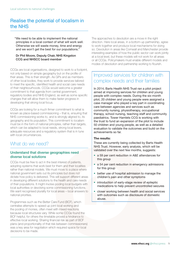## Realise the potential of localism in the NHS

"We need to be able to implement the national principles in a local context of what will work well. Otherwise we will waste money, time and energy and we won't get the best for our populations."

#### Dr Phil Moore, Deputy Chair, NHS Kingston CCG and NHSCC board member

CCGs are local organisations, designed to work to a footprint, not only based on simple geography but on the profile of their areas. This is their strength. As GPs and as members of other local bodies, they work to provide services tailored to meet the specific, identified health and social care needs of their neighbourhoods. CCGs would welcome a greater commitment to that agenda from central government, regulatory bodies and NHS England, as well as some specific changes that will allow them to make faster progress in developing that strong local focus.

CCGs are looking for a much firmer commitment to what is known as place-based commissioning – that is, ensuring that NHS commissioning works to, and is strongly aligned to, its geography and its population. This commitment to localism must be in the form of national principles, rather than targets, which can be adapted to local needs, strong local levers, adequate resources and a regulatory system that is in tune with local circumstances.

## What do we need?

#### Understand that diverse geographies need diverse local solutions

CCGs must be free to act in the best interest of patients, adopting systems that work best for them and their localities rather than national models. We must move to a place where national government sets out its principles but does not dictate how policy is delivered. This will support different areas in developing different solutions to the health and care needs of their populations. It might involve pooling local budgets with local authorities or devolving some commissioning functions. We want recognised plurality for local areas – local answers to national priorities.

Programmes such as the Better Care Fund (BCF), which centralise attempts to speed up joint local working and the pooling of monies, often meet with mixed reactions because local structures vary. While some CCGs found the BCF helpful, for others the timetable proved a hindrance to effective local working. Sharing financial risk as part of BCF plans (and proportionality of that risk between commissioners) was a key area for negotiation which required space for local decisions to be made.

The approaches to devolution are a move in the right direction. Here local areas, in a bottom-up partnership, agree to work together and produce local mechanisms for doing so. Devolution in areas like Cornwall and Manchester provide interesting examples of how the public sector can work jointly at a local level, but these models will not work for all areas or all CCGs. Policymakers must enable different models and modes of devolution and partnership working to flourish.

## Improved services for children with complex needs and their families

In 2014, Barts Health NHS Trust ran a pilot project aimed at improving services for children and young people with complex needs. During the six-month pilot, 20 children and young people were assigned a case manager who played a key part in coordinating care between agencies and services such as community nursing, physiotherapy, occupational therapy, school nursing, teaching staff and community paediatrics. Tower Hamlets CCG is working with the trust to fund an expansion of the pilot to include 50 children and young people, as well as a detailed evaluation to validate the outcomes and build on the achievements so far.

#### The results:

These are currently being collected by Barts Health NHS Trust. However, early analysis, which will be validated over the next few months, suggests:

- a 59 per cent reduction in A&E attendances for this group
- a 54 per cent reduction in emergency admissions for this group
- better use of hospital admission to manage the children's pain and other symptoms
- introduction of early-stage review of epileptic medications to help prevent uncontrolled seizures
- closer working between health and social services with outcomes such as disclosure of domestic abuse.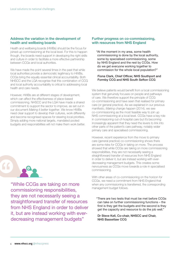#### Address the variation in the development of health and wellbeing boards

Health and wellbeing boards (HWBs) should be the focus for joined-up commissioning at the local level. For this to happen though, the boards need support in developing the right skills and culture in order to facilitate a more effective partnership between CCGs and local authorities.

We have made the point several times in the past that while local authorities provide a democratic legitimacy to HWBs, CCGs bring the equally essential clinical accountability. Both NHSCC and the LGA recognise that this combination of CCG and local authority accountability is critical to addressing local health and care needs.

However, HWBs are at different stages of development, which can affect the effectiveness of place-based commissioning. NHSCC and the LGA have made a shared commitment to support the sector to improve, as set out in our document *Making it better together*. We know HWBs need clear support to develop their cultures, work differently and become recognised spaces for steering local priorities. Simply adding more national targets, mandated pooled budgets and responsibilities will not make them work better.

# "

"While CCGs are taking on more commissioning responsibilities, they are not necessarily seeing a straightforward transfer of resources from NHS England in order to deliver it, but are instead working with everdecreasing management budgets"

#### Further progress on co-commissioning, with resources from NHS England

"At the moment in my area, some health commissioning is done by the local authority, some by specialised commissioning, some by NHS England and the rest by CCGs. How do we get everyone working together to commission for the whole local population?"

#### Fiona Clark, Chief Officer, NHS Southport and Formby CCG and NHS South Sefton CCG

We believe patients would benefit from a local commissioning system that genuinely focuses on people and pathways of care. We therefore support the principle of CCG co-commissioning and have seen that realised for primary care (or general practice). As we explained in our previous manifesto, *Making change happen* (2014), we see co-commissioning as the most feasible way to join up NHS commissioning at a local level. CCGs have a key role in commissioning out-of-hospital care but it's becoming increasingly apparent that they need the levers to link into other parts of the patient's care pathway, notably wider primary care and specialised commissioning.

However, recent experience from the move to primary care (general practice) co-commissioning shows there are some risks for CCGs in taking on more. The process showed that while CCGs are taking on more commissioning responsibilities, they are not necessarily seeing a straightforward transfer of resources from NHS England in order to deliver it, but are instead working with everdecreasing management budgets. This creates some nervousness as CCGs move towards a role in specialised commissioning.

With other areas of co-commissioning on the horizon for CCGs, we need a commitment from NHS England that when any commissioning is transferred, the corresponding management budget follows.

"There are two tests that must be met before CCGs can take on further commissioning functions – the first is they get the budgets and the second is they get the capacity and resource to do the job well."

Dr Steve Kell, Co-chair, NHSCC and Chair, NHS Bassetlaw CCG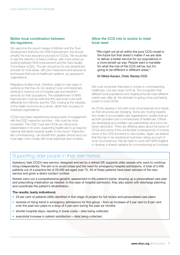#### Better local coordination between the regulators

We welcome the recent merger of Monitor and the Trust Development Authority into NHS Improvement, this should simplify the trust assurance process for CCGs. We would like to see this direction of travel continue, with more joined-up working between NHS Improvement and the Care Quality Commission (CQC). The aim should be for one streamlined process for local areas, with joint inspections and assurance techniques that look at healthcare systems, as opposed to organisations.

Regulatory bodies must, therefore, adapt to new ways of working so that they do not obstruct local commissioners working to improve out-of-hospital care and transform services for their populations. The establishment of NHS Improvement must be swift and the new body must work differently from Monitor and the TDA, looking at the interests of the health economy as a whole, rather than focusing on individual organisations.

CCGs have been experiencing varying levels of engagement with the CQC inspection process – this must be more consistent. The CQC must see CCGs as critical local stakeholders in its work, supporting healthcare to go beyond national standards towards quality 'in the round'. Inspection, like commissioning, can benefit from greater clinical input but must align more closely with local objectives and contexts.

#### Allow the CCG role to evolve to meet local need

"We might not all sit within the pure CCG model in the future but that doesn't matter if we are able to deliver a better service for our populations in a more joined-up way. People want a mandate for what the role of the CCG will be, but it's going to be different in different areas."

#### Dr Nikita Kanani, Chair, Bexley CCG

We must remember that when it comes to commissioning healthcare, one size does not fit all. The recognition that different local populations and neighbourhoods have different needs was, after all, the rationale for giving more purchasing power to local CCGs.

As CCGs develop in line with local circumstances and needs, so their structures are diverging. Some are moving towards the model of accountable care organisations: bodies that act as both providers and commissioners of healthcare. Others are developing accountable care partnerships and some fullblown devolution. There are differing views about the future of CCGs and some of the unintended consequences of moving some of the CCG functions to new bodies. Again, we believe that this has to be resolved at local level, taking account of local circumstances. We are keen to work with NHS England to develop a shared narrative for commissioning as it evolves.

## Supporting older people in their own homes

Aylesbury Vale CCG's new service, designed and led by a retired GP, supports older people who want to continue living independently. The aim is to avoid crises and the need for emergency hospital admissions. A total of 2,400 patients out of a practice list of 29,000 are aged over 75. All of these patients have been advised of the new service and given a direct contact number.

Nurses carry out a comprehensive geriatric assessment in the patient's home, drawing up a personalised care plan and prescribing medication as needed. In the case of hospital admission, they also assist with discharge planning and coordinate the patient's rehabilitation.

#### The results: (early indications)

- • 20 per cent of patients (480) identified in first stage of project for full review and personalised care plans
- reversal of rising trend in emergency admissions for this group from an increase of 3 per cent to 8 per cent over the past two years to a drop of 5 per cent during the past six months
- shorter hospital stays, resulting in lower costs data being collected
- anecdotal increase in patient satisfaction data being collected.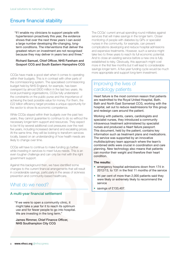## Ensure financial stability

"If I enable my clinicians to support people with hypertension proactively this year, the evidence shows that over the next three years I can avoid a large number developing life-changing, longterm conditions. The interventions that deliver the greatest return on investment are not recognised because they may deliver in years two and three."

#### Richard Samuel, Chief Officer, NHS Fareham and Gosport CCG and South Eastern Hampshire CCG

CCGs have made a good start when it comes to operating within their budgets. This is in contrast with other parts of the commissioning system. The specialised commissioning budget held by NHS England, for example, has been overspent by almost £600 million in the last two years. As local purchasing organisations, CCGs fully understand the constraints on the public purse and the importance of achieving the best possible value for money. For them, the £22 billion efficiency target provides a unique opportunity for the sector to show its economic competence.

While CCGs stayed within their budgets over the past two years, they cannot guarantee to continue to do so without the necessary longer-term support and resources. They expect to be hit by several additional cost pressures over the next five years, including increased demand and escalating prices. At the same time, they will be looking to transform services locally, based on an understanding of how health needs are likely to change over time.

CCGs will have to continue to make funding go further while investing in services to meet future needs. This is an even tougher challenge and can only be met with the right government support.

Against this background then, we have identified some changes to the current financial arrangements that will result in considerable savings, particularly in the areas of sickness prevention and community-based healthcare.

## What do we need?

#### A multi-year financial settlement

"If we were to open a community clinic, it might take a year for it to reach its optimum use and for fewer people to go into hospital. We are investing in the long term."

James Rimmer, Chief Finance Officer, NHS Southampton City CCG

The CCGs' current annual spending round militates against services that will make savings in the longer term. Closer monitoring of people with diabetes by GPs or specialist nurses in the community, for example, can prevent complications developing and reduce hospital admissions and expensive treatments. However, such a service might take two to three years to reach its full economic potential. And to close an existing service before a new one is fully established is risky. Obviously, this approach might cost more in the first few months but it will lead to considerable savings longer term. A five-year funding cycle would be much more appropriate and support long-term investment.

## Improving the lives of cardiology patients

Heart failure is the most common reason that patients are readmitted to the Royal United Hospital, Bath. Bath and North East Somerset CCG, working with the hospital, set out to reduce readmissions for this group and redesign care around the patient.

Working with patients, carers, cardiologists and specialist nurses, they introduced a community intravenous treatment administered by specialist nurses and produced a *Heart failure passport*. This document, held by the patient, contains key information such as treatment plans and medications. The service was supported by an innovative multidisciplinary team approach where the team's combined skills were crucial in coordination and care planning. New technology also means that patients can monitor their weight and therefore their heart condition.

- emergency hospital admissions down from 174 in 2012/13, to 131 in the first 11 months of the service
- 94 per cent of more than 2,000 patients said they were likely or extremely likely to recommend the service
- savings of £133,407.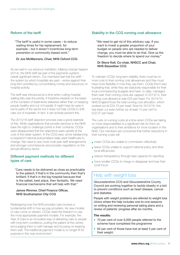#### Reform of the tariff

"The tariff is useful in some cases – to reduce waiting times for hip replacement, for example – but it doesn't incentivise long-term prevention or community-based work."

#### Dr Joe McManners, Chair, NHS Oxford CCG

As we said in our previous manifesto, *Making change happen* (2014), the NHS tariff (as part of the payments system) needs significant reform. Our members feel that the tariff – the system by which hospitals are paid – works against their long-term priorities by concentrating money and resources on hospital activity.

The tariff was introduced at a time when cutting hospital waiting lists was the priority. It therefore rewards on the basis of the numbers of treatments delivered rather than on keeping people healthy and out of hospital. It might have its uses in some parts of the sector but it does not help CCGs to shift care out of hospitals. In fact, it can actively prevent this.

The 2015/16 tariff objection process was a good example of this. While organisations that provide services to the NHS have the right to challenge points in their contracts, CCGs were disappointed that the objections were upheld at the cost of the wider system. In the CCG view, some rebalancing is required if national policymakers really want healthcare to change. We need to see more multi-year tariff arrangements and stronger commissioner and provider negotiation on the annual efficiency factor.

#### Different payment methods for different types of care

"Care needs to be delivered as close as practicable to the patient; if that's in the community then that's brilliant; if that's in the big hospital because that is the safest, best place, then fantastic. We need financial mechanisms that will help with that."

#### James Rimmer, Chief Finance Officer, NHS Southampton City CCG

Redesigning how the NHS provides care involves a fundamental shift in how we pay providers. As new models of care come on stream, CCGs need the freedom to use the most appropriate payment models. For example, the Year of Care is an innovative way of delivering care to people with long-term conditions, putting the patient at the centre, encouraging them to self-manage and focusing on keeping them well. The traditional payment model is no longer fit for purpose in this new environment.

#### Stability in the CCG running cost allowance

"We need to get rid of this arbitrary cap. If you want to invest a greater proportion of your budget on people who are needed to deliver change, you must be able to do that. Give us the freedom to decide where to spend our money."

#### Dr Steve Kell, Co-chair, NHSCC and Chair, NHS Bassetlaw CCG

To maintain CCGs' long-term stability, there must be no more cuts to their running cost allowances and they must have more flexibility in how they use them. CCGs find it very frustrating that, while they are statutorily responsible for their local commissioning budgets and have, to date, managed them well, their running costs are capped. In 2013/14, their running cost allowance was £25 per head. For 2014/15, NHS England froze the total running cost allocation, which worked out at £24.73 per head. Now for 2015/16, this has been cut even further, by at least 10 per cent to £22.07 per head.

The curb on running costs at a time when CCGs are taking on more responsibilities is a significant risk for them as organisations and to their ambitions for more localism in the NHS. Our members are concerned that further reductions in their running costs will:

- mean CCGs are unable to commission effectively
- leave CCGs unable to support national policy and drive local efficiencies
- reduce transparency through less capacity for reporting
- force smaller CCGs to merge or disappear and lose their local focus.

#### Help with weight loss

Gloucestershire CCG and Gloucestershire County Council are working together to tackle obesity in a bid to prevent conditions such as heart disease, cancer and diabetes.

People with weight problems are referred to weight loss clinics where the help includes one-to-one sessions on writing and reviewing personal eating plans and a review of patients' progress after six months.

- 70 per cent of over 6,000 people referred to the scheme have completed the programme
- • 62 per cent of those have lost at least 5 per cent of their weight.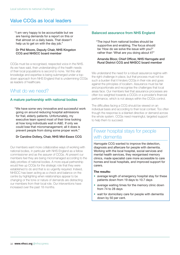## Value CCGs as local leaders

"I am very happy to be accountable but we are having demands for a report on this or that almost on a daily basis. That doesn't help us to get on with the day job."

#### Dr Phil Moore, Deputy Chair, NHS Kingston CCG and NHSCC board member

CCGs must be a recognised, respected voice in the NHS. As we have said, their understanding of the health needs of their local populations is second to none. Yet this vital knowledge and expertise is being submerged under a topdown approach from NHS England that is undermining CCGs as leaders of healthcare.

## What do we need?

#### A mature partnership with national bodies

"We have some very innovative and successful work going on around reducing hospital admissions for frail, elderly patients. Unfortunately, my executive team spend most of their time looking at how long individuals wait in A&E. If only we could lose that micromanagement; all it does is prevent people from doing some proper work."

#### Dr Caroline Dollery, Chair, NHS Mid-Essex CCG

Our members want more collaborative ways of working with national bodies, in particular with NHS England as a fellow commissioner and as the assurer of CCGs. At present our members feel they are being micromanaged according to the daily priorities of national bodies. A more equal partnership would free up CCGs for the strategic role that they were established to do and that is so urgently required. Indeed, NHSCC has been acting as a check and balance on the centre by highlighting when relationships appear to be changing or the tone or nature of demands are distracting our members from their local role. Our interventions have increased over the past 18 months.

#### Balanced assurance from NHS England

"The input from national bodies should be supportive and enabling. The focus should be 'How do we solve the issue with you?' rather than 'What are you doing about it?"

#### Amanda Bloor, Chief Officer, NHS Harrogate and Rural District CCG and NHSCC board member

We understand the need for a robust assurance regime with the right challenge in place, but that process must not be such a burden that it hinders CCGs in their role and goes against the principles of localism. Assurance must be fair and proportionate and recognise the challenges that local areas face. Our members feel that assurance processes are often too weighted towards a CCG's or a provider's financial performance, which is not always within the CCG's control.

The difficulties facing a CCG should be viewed on an individual basis and according to their local context. Too often though the response is a blanket directive or demand across the whole system. CCGs need meaningful, targeted support to help them to succeed.

## Fewer hospital stays for people with dementia

Harrogate CCG wanted to improve the detection, diagnosis and aftercare for people with dementia. Working with the local hospital, social services and mental health services, they reorganised memory clinics, made specialist care more accessible to care homes and local hospitals, and improved support for carers.

- average length of emergency hospital stay for these patients down from 19 days to 10.7 days
- average waiting times for the memory clinic down from 74 to 28 days
- wait for domiciliary care for people with dementia down by 50 per cent.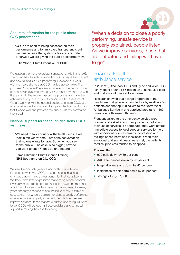#### Accurate information for the public about CCG performance

"CCGs are open to being assessed on their performance and for improved transparency, but we must ensure the system is fair and accurate, otherwise we are giving the public a distorted view."

#### Julie Wood, Chief Executive, NHSCC

We support the move to greater transparency within the NHS. The public has the right to know how its money is being spent and how its local CCG is performing. However, our work with members shows that CCG metrics are complex. The proposed "scorecard" system for assessing the performance of local health systems through CCGs must compare like with like, align with the existing assurance process and have the right metrics in place in order to produce a fair assessment. We are working with the national bodies to ensure CCGs are able to influence the shape and scope of the final product so that it works well and provides the public with the information they need.

#### National support for the tough decisions CCGs will make

"We need to talk about how the health service will look in ten years' time. That's the conversation that no one wants to have. But when you say to the public, 'The cake is no bigger, how do you want to cut it?', they do understand."

#### James Rimmer, Chief Finance Officer, NHS Southampton City CCG

We need senior policymakers and politicians with local influence to work with CCGs to support local healthcare changes that will have a clear benefit for their constituents. We know from bitter experience that closing a local hospital invariably meets fierce opposition. People have an emotional attachment to a service they have known and used for many years and they also tend to see the issue purely in terms of cost saving. Yet when a decision to close a poorly performing, unsafe service is properly explained, people listen. As we improve services, those that are outdated and failing will have to go. CCGs will be leading those decisions and will need support in making the case for change.



"When a decision to close a poorly performing, unsafe service is properly explained, people listen. As we improve services, those that are outdated and failing will have to go"

## Fewer calls to the ambulance service

In 2011/12, Blackpool CCG and Fylde and Wyre CCG jointly spent around £86 million on unscheduled care and that amount was set to increase.

Research showed that a large proportion of the healthcare budget was accounted for by relatively few patients and the top 100 callers to the North West Ambulance Service in one deprived area rang 1,100 times over a three-month period.

Frequent callers to the emergency service were phoned and asked about their problems, not about their use of services. If appropriate, they were offered immediate access to local support services for help with conditions such as anxiety, depression and feelings of self-harm and loneliness. When their emotional and social needs were met, the patients' medical problems tended to disappear.

- 999 calls down by 89 per cent
- A&E attendances down by 93 per cent
- hospital admissions down by 82 per cent
- incidences of self-harm down by 98 per cent
- savings of £2,757,380.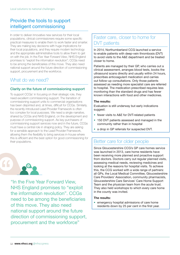## Provide the tools to support intelligent commissioning

In order to deliver innovative new services for their local populations, clinical commissioners require some specific practical measures to enable them to work faster and smarter. They are making key decisions with huge implications for their local populations, and they require modern technology and the appropriate administrative tools to allow them to get on with the job. In the *Five Year Forward View*, NHS England promises to "exploit the information revolution"; CCGs need to be among the beneficiaries of this move. They also need national support around the future direction of commissioning support, procurement and the workforce.

## What do we need?

#### Clarity on the future of commissioning support

To support CCGs' in focusing on their strategic role, they need excellent commissioning support. The transition of commissioning support units to commercial organisations has been disjointed and, at times, difficult for CCGs. Similarly, the recently introduced Lead Provider Framework is often too complex for local purposes. We need a single narrative, shared by CCGs and NHS England, on the development and purpose of commissioning support. As key purchasers of commissioning support services now and in the future, CCGs must have a central role in shaping policy. They are asking for a sensible approach to the Lead Provider Framework, allowing them the flexibility to bring services in-house where this is efficient and the best option for good commissioning for their populations. **Better care for older people** 



"In the Five Year Forward View, NHS England promises to "exploit the information revolution". CCGs need to be among the beneficiaries of this move. They also need national support around the future direction of commissioning support, procurement and the workforce"

## Faster care, closer to home for DVT patients

In 2014, Northumberland CCG launched a service to enable patients with deep-vein thrombosis (DVT) to avoid visits to the A&E department and be treated closer to home.

Patients are managed by their GP, who carries out a clinical assessment, arranges blood tests, books the ultrasound scans directly and usually within 24 hours, prescribes anticoagulant medication and carries out follow-up consultations. Only those patients assessed as needing more specialist care are referred to hospital. The medication prescribed requires less monitoring than the standard drugs and has fewer known interactions with food and other medicines.

#### The results:

Evaluation is still underway but early indications suggest:

- fewer visits to A&E for DVT-related patients
- 150 DVT patients assessed and managed in the community rather than in hospital
- a drop in GP referrals for suspected DVT.

Since Gloucestershire CCG's GP care homes service was launched in 2013, care home residents have been receiving more planned and proactive support from doctors. Doctors carry out regular planned visits, assessing medical needs, reviewing medicines and looking at the reasons for hospital visits. To achieve this, the CCG worked with a wide range of partners: all GPs, the Local Medical Committee, Gloucestershire Care Providers' Association, community pharmacists, Gloucestershire Care Services' Care Home Support Team and the physician team from the acute trust. They also held workshops to which every care home in the county was invited.

#### The results:

• emergency hospital admissions of care home residents down by 25 per cent in the first year.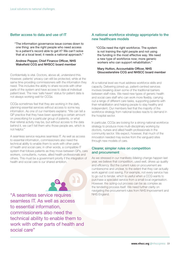#### Better access to data and use of IT

"The information governance issue comes down to one thing: are the right people who need access to a patient's record able to get it? We can't solve that at a local level; it needs a national approach."

#### Andrew Pepper, Chief Finance Officer, NHS Wakefield CCG and NHSCC board member

Confidentially is vital. Doctors, above all, understand this. However, patients' privacy can still be protected, while at the same time providing commissioners with the information they need. This includes the ability to share records with other parts of the system and have access to data at individual patient level. The new 'safe haven' status for patient data is not always working well for CCGs.

CCGs sometimes feel that they are working in the dark, planning essential services without access to some key information. As one of our members explains: "We can tell a GP practice that they have been spending a certain amount on prescribing for a particular group of patients, or what their referral activity may be, but without access to the data behind it, we can't tell them who those people are, which is not helpful."

A seamless service requires seamless IT. As well as access to essential information, commissioners also need the technical ability to enable them to work with other parts of health and social care; in other words, a compatible IT system that follows patients as they move between GPs, care workers, consultants, nurses, allied health professionals and others. This must be a government priority if the integration of health and social care is our shared ambition.



"A seamless service requires NHS England. seamless IT. As well as access to essential information, commissioners also need the technical ability to enable them to work with other parts of health and social care"

#### A national workforce strategy appropriate to the new healthcare models

"CCGs need the right workforce. The system is not training the right people and not using the funding in the most effective way. We need a new type of workforce now; more generic workers who can support rehabilitation."

#### Mary Hutton, Accountable Officer, NHS Gloucestershire CCG and NHSCC board member

At a national level we must address workforce skills and capacity. Delivering joined-up, patient-centred services involves breaking down some of the traditional barriers between staff roles. We need new types of generic health and social care staff who can work more flexibly, carrying out a range of different care tasks, supporting patients with their rehabilitation and helping people to stay healthy and independent. Our members feel that the majority of the workforce strategy from national bodies reacts to demand in the hospital sector.

In particular, CCGs are looking for a strong national workforce strategy to produce more multi-disciplinary working by doctors, nurses and allied health professionals in the community sector. We expect, however, that much of the innovation needed may evolve from the vanguard sites through new models of care.

#### Clearer, simpler rules on competition and procurement

As we stressed in our manifesto *Making change happen* last year, we believe that competition, used well, drives up quality and efficiency. But the current rules on procurement are cumbersome and unclear, to the extent that they can actually work against cost saving. For example, not every service has to go out to tender, which is useful when a CCG wants to purchase a specialist service from a small local organisation. However, the opting-out process can be as complex as the tendering process itself. We need further clarity on navigating the procurement rules from NHS Improvement and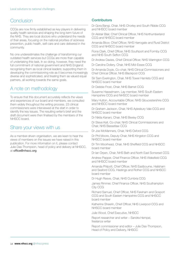## **Conclusion**

CCGs are now firmly established as key players in delivering quality health services and shaping the long-term future of the NHS. They are local doctors who understand the needs of their areas, focusing on the national priorities of sickness prevention, public health, self-care and care delivered in the community.

No one underestimates the challenge of transforming our outdated health services but CCGs are more than capable of undertaking this task. In so doing, however, they need the full commitment of national government and NHS England: recognising them as local clinical leaders; supporting them in developing the commissioning role as it becomes increasingly diverse and sophisticated, and treating them as valued equal partners, all working towards the same goals.

## A note on methodology

To ensure that this document accurately reflects the views and experiences of our board and members, we consulted them widely throughout the writing process. 23 clinical commissioners were interviewed at the start in order to identify the key issues. The resulting writer's brief and the draft document were then finalised by the members of the NHSCC board.

## Share your views with us

As a member-driven organisation, we are keen to hear the views of members on the issues we have raised in this publication. For more information on it, please contact Julie Das-Thompson, head of policy and delivery at NHSCC, at [office@nhscc.org](mailto:office@nhscc.org)

#### **Contributors**

Dr Gora Bangi, Chair, NHS Chorley and South Ribble CCG and NHSCC board member

Dr Alistair Blair, Chief Clinical Officer, NHS Northumberland CCG and NHSCC board member

Amanda Bloor, Chief Officer, NHS Harrogate and Rural District CCG and NHSCC board member

Fiona Clark, Chief Officer, NHS Southport and Formby CCG and NHS South Sefton CCG

Dr Andrew Davies, Chief Clinical Officer, NHS Warrington CCG

Dr Caroline Dollery, Chair, NHS Mid-Essex CCG

Dr Amanda Doyle, Co-chair, NHS Clinical Commissioners and Chief Clinical Officer, NHS Blackpool CCG

Sir Sam Everington, Chair, NHS Tower Hamlets CCG and NHSCC board member

Dr Debbie Frost, Chair, NHS Barnet CCG

Susanne Hasselmann, Lay member, NHS South Eastern Hampshire CCG and NHSCC board member

Mary Hutton, Accountable Officer, NHS Gloucestershire CCG and NHSCC board member

Dr Graham Jackson, Chair, NHS Aylesbury Vale CCG and NHSCC board member

Dr Nikita Kanani, Chair, NHS Bexley CCG

Dr Steve Kell, Co-chair, NHS Clinical Commissioners and Chair, NHS Bassetlaw CCG

Dr Joe McManners, Chair, NHS Oxford CCG

Dr Phil Moore, Deputy Chair, NHS Kingston CCG and NHSCC board member

Dr Tim Moorhead, Chair, NHS Sheffield CCG and NHSCC board member

Dr Ian Orpen, Chair, NHS Bath and North East Somerset CCG

Andrew Pepper, Chief Finance Officer, NHS Wakefield CCG and NHSCC board member

Amanda Philpott, Chief Officer, NHS Eastbourne, Hailsham and Seaford CCG, Hastings and Rother CCG and NHSCC board member

Dr Hugh Reeve, Chair, NHS Cumbria CCG

James Rimmer, Chief Finance Officer, NHS Southampton City CCG

Richard Samuel, Chief Officer, NHS Fareham and Gosport CCG and South Eastern Hampshire CCG and NHSCC board member

Katherine Sheerin, Chief Officer, NHS Liverpool CCG and NHSCC board member

Julie Wood, Chief Executive, NHSCC

Report researcher and writer – Sandra Hempel, freelance writer

Report commissioner and editor – Julie Das-Thompson, Head of Policy and Delivery, NHSCC